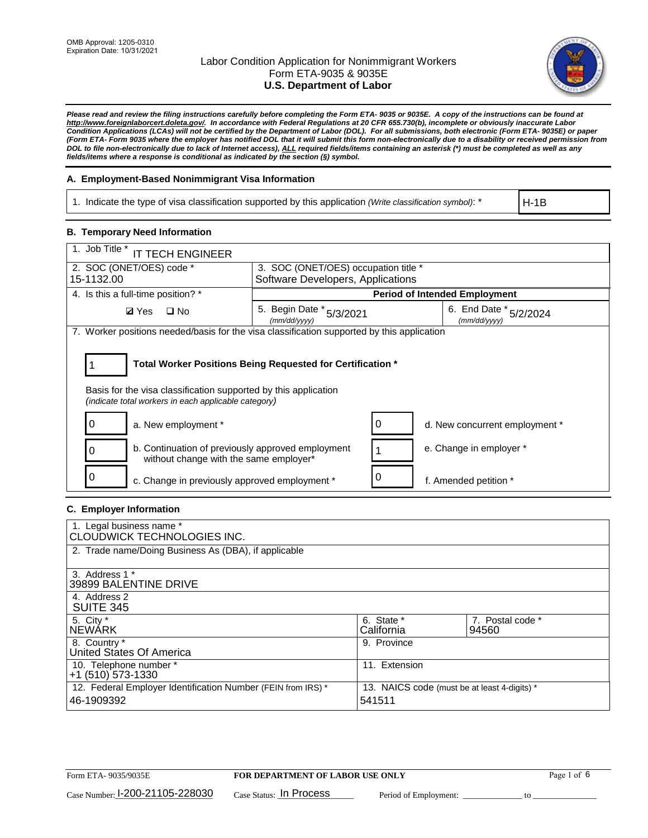

*Please read and review the filing instructions carefully before completing the Form ETA- 9035 or 9035E. A copy of the instructions can be found at [http://www.foreignlaborcert.doleta.gov/.](http://www.foreignlaborcert.doleta.gov/) In accordance with Federal Regulations at 20 CFR 655.730(b), incomplete or obviously inaccurate Labor Condition Applications (LCAs) will not be certified by the Department of Labor (DOL). For all submissions, both electronic (Form ETA- 9035E) or paper (Form ETA- Form 9035 where the employer has notified DOL that it will submit this form non-electronically due to a disability or received permission from DOL to file non-electronically due to lack of Internet access), ALL required fields/items containing an asterisk (\*) must be completed as well as any fields/items where a response is conditional as indicated by the section (§) symbol.* 

### **A. Employment-Based Nonimmigrant Visa Information**

1. Indicate the type of visa classification supported by this application *(Write classification symbol)*: \*

H-1B

### **B. Temporary Need Information**

| 1. Job Title *<br><b>IT TECH ENGINEER</b>                                                                                                                                             |                                          |                                   |                                        |  |  |  |
|---------------------------------------------------------------------------------------------------------------------------------------------------------------------------------------|------------------------------------------|-----------------------------------|----------------------------------------|--|--|--|
| 2. SOC (ONET/OES) code *<br>3. SOC (ONET/OES) occupation title *                                                                                                                      |                                          |                                   |                                        |  |  |  |
| 15-1132.00                                                                                                                                                                            |                                          | Software Developers, Applications |                                        |  |  |  |
| 4. Is this a full-time position? *                                                                                                                                                    | <b>Period of Intended Employment</b>     |                                   |                                        |  |  |  |
| $\Box$ No<br><b>Ø</b> Yes                                                                                                                                                             | 5. Begin Date * 5/3/2021<br>(mm/dd/yyyy) |                                   | 6. End Date * 5/2/2024<br>(mm/dd/yyyy) |  |  |  |
| 7. Worker positions needed/basis for the visa classification supported by this application                                                                                            |                                          |                                   |                                        |  |  |  |
| Total Worker Positions Being Requested for Certification *<br>Basis for the visa classification supported by this application<br>(indicate total workers in each applicable category) |                                          |                                   |                                        |  |  |  |
| 0<br>a. New employment *                                                                                                                                                              |                                          | O                                 | d. New concurrent employment *         |  |  |  |
| b. Continuation of previously approved employment<br>without change with the same employer*                                                                                           |                                          |                                   | e. Change in employer *                |  |  |  |
| c. Change in previously approved employment *                                                                                                                                         |                                          |                                   | f. Amended petition *                  |  |  |  |

### **C. Employer Information**

| 1. Legal business name *<br><b>CLOUDWICK TECHNOLOGIES INC.</b>             |                                                        |                           |
|----------------------------------------------------------------------------|--------------------------------------------------------|---------------------------|
| 2. Trade name/Doing Business As (DBA), if applicable                       |                                                        |                           |
| 3. Address 1 *<br>39899 BALENTINE DRIVE                                    |                                                        |                           |
| 4. Address 2<br><b>SUITE 345</b>                                           |                                                        |                           |
| 5. City *<br><b>NEWARK</b>                                                 | 6. State *<br>California                               | 7. Postal code *<br>94560 |
| 8. Country *<br>United States Of America                                   | 9. Province                                            |                           |
| 10. Telephone number *<br>$+1$ (510) 573-1330                              | 11. Extension                                          |                           |
| 12. Federal Employer Identification Number (FEIN from IRS) *<br>46-1909392 | 13. NAICS code (must be at least 4-digits) *<br>541511 |                           |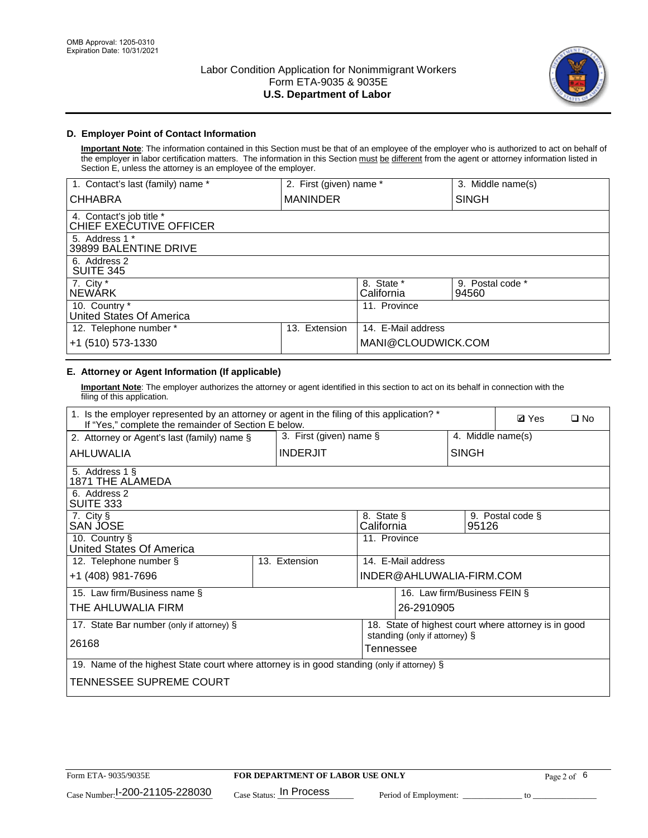

## **D. Employer Point of Contact Information**

**Important Note**: The information contained in this Section must be that of an employee of the employer who is authorized to act on behalf of the employer in labor certification matters. The information in this Section must be different from the agent or attorney information listed in Section E, unless the attorney is an employee of the employer.

| 1. Contact's last (family) name *                   | 2. First (given) name * |                          | 3. Middle name(s)         |
|-----------------------------------------------------|-------------------------|--------------------------|---------------------------|
| <b>CHHABRA</b>                                      | <b>MANINDER</b>         |                          | <b>SINGH</b>              |
| 4. Contact's job title *<br>CHIEF EXECUTIVE OFFICER |                         |                          |                           |
| 5. Address 1 *<br>39899 BALENTINE DRIVE             |                         |                          |                           |
| 6. Address 2<br><b>SUITE 345</b>                    |                         |                          |                           |
| 7. City *<br><b>NEWÁRK</b>                          |                         | 8. State *<br>California | 9. Postal code *<br>94560 |
| 10. Country *<br>United States Of America           |                         | 11. Province             |                           |
| 12. Telephone number *                              | Extension<br>13.        | 14. E-Mail address       |                           |
| +1 (510) 573-1330                                   |                         | MANI@CLOUDWICK.COM       |                           |

## **E. Attorney or Agent Information (If applicable)**

**Important Note**: The employer authorizes the attorney or agent identified in this section to act on its behalf in connection with the filing of this application.

| 1. Is the employer represented by an attorney or agent in the filing of this application? *<br>If "Yes," complete the remainder of Section E below. |  |                            |                          |                               |                              | <b>Ø</b> Yes<br>$\square$ No                         |  |
|-----------------------------------------------------------------------------------------------------------------------------------------------------|--|----------------------------|--------------------------|-------------------------------|------------------------------|------------------------------------------------------|--|
| 2. Attorney or Agent's last (family) name §                                                                                                         |  | 3. First (given) name $\S$ |                          |                               | 4. Middle name(s)            |                                                      |  |
| AHLUWALIA                                                                                                                                           |  | <b>INDERJIT</b>            |                          |                               | <b>SINGH</b>                 |                                                      |  |
| 5. Address 1 §<br>1871 THE ALAMEDA                                                                                                                  |  |                            |                          |                               |                              |                                                      |  |
| 6. Address 2<br>SUITE 333                                                                                                                           |  |                            |                          |                               |                              |                                                      |  |
| 7. City §<br>SAN JOSE                                                                                                                               |  |                            | 8. State §<br>California |                               | 95126                        | 9. Postal code §                                     |  |
| 10. Country §<br>United States Of America                                                                                                           |  |                            | 11. Province             |                               |                              |                                                      |  |
| 12. Telephone number §                                                                                                                              |  | 13. Extension              |                          | 14. E-Mail address            |                              |                                                      |  |
| +1 (408) 981-7696                                                                                                                                   |  |                            |                          | INDER@AHLUWALIA-FIRM.COM      |                              |                                                      |  |
| 15. Law firm/Business name §                                                                                                                        |  |                            |                          |                               | 16. Law firm/Business FEIN § |                                                      |  |
| THE AHLUWALIA FIRM                                                                                                                                  |  |                            |                          | 26-2910905                    |                              |                                                      |  |
| 17. State Bar number (only if attorney) §                                                                                                           |  |                            |                          | standing (only if attorney) § |                              | 18. State of highest court where attorney is in good |  |
| 26168                                                                                                                                               |  |                            | Tennessee                |                               |                              |                                                      |  |
| 19. Name of the highest State court where attorney is in good standing (only if attorney) §                                                         |  |                            |                          |                               |                              |                                                      |  |
| TENNESSEE SUPREME COURT                                                                                                                             |  |                            |                          |                               |                              |                                                      |  |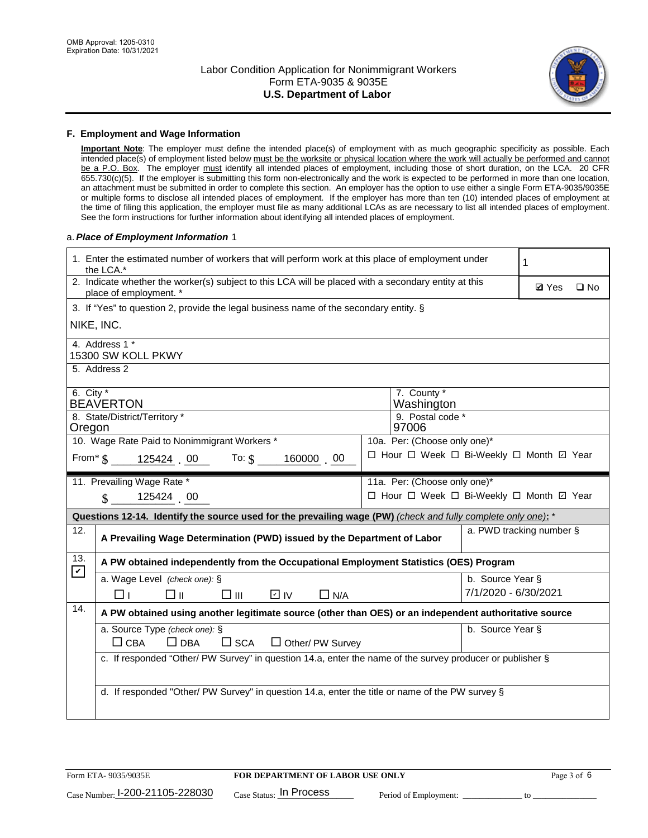

#### **F. Employment and Wage Information**

**Important Note**: The employer must define the intended place(s) of employment with as much geographic specificity as possible. Each intended place(s) of employment listed below must be the worksite or physical location where the work will actually be performed and cannot be a P.O. Box. The employer must identify all intended places of employment, including those of short duration, on the LCA. 20 CFR 655.730(c)(5). If the employer is submitting this form non-electronically and the work is expected to be performed in more than one location, an attachment must be submitted in order to complete this section. An employer has the option to use either a single Form ETA-9035/9035E or multiple forms to disclose all intended places of employment. If the employer has more than ten (10) intended places of employment at the time of filing this application, the employer must file as many additional LCAs as are necessary to list all intended places of employment. See the form instructions for further information about identifying all intended places of employment.

#### a.*Place of Employment Information* 1

|                                                                              | 1. Enter the estimated number of workers that will perform work at this place of employment under<br>the LCA.*                 |  | 1                |                      |                                          |  |  |  |
|------------------------------------------------------------------------------|--------------------------------------------------------------------------------------------------------------------------------|--|------------------|----------------------|------------------------------------------|--|--|--|
|                                                                              | 2. Indicate whether the worker(s) subject to this LCA will be placed with a secondary entity at this<br>place of employment. * |  |                  |                      | <b>Ø</b> Yes<br>$\square$ No             |  |  |  |
|                                                                              | 3. If "Yes" to question 2, provide the legal business name of the secondary entity. §                                          |  |                  |                      |                                          |  |  |  |
|                                                                              | NIKE, INC.                                                                                                                     |  |                  |                      |                                          |  |  |  |
|                                                                              | 4. Address 1 *<br>15300 SW KOLL PKWY                                                                                           |  |                  |                      |                                          |  |  |  |
|                                                                              | 5. Address 2                                                                                                                   |  |                  |                      |                                          |  |  |  |
|                                                                              | 6. City $*$<br>7. County *<br><b>BEAVERTON</b><br>Washington                                                                   |  |                  |                      |                                          |  |  |  |
|                                                                              | 8. State/District/Territory *                                                                                                  |  | 9. Postal code * |                      |                                          |  |  |  |
| Oregon                                                                       |                                                                                                                                |  | 97006            |                      |                                          |  |  |  |
| 10. Wage Rate Paid to Nonimmigrant Workers *<br>10a. Per: (Choose only one)* |                                                                                                                                |  |                  |                      |                                          |  |  |  |
|                                                                              | □ Hour □ Week □ Bi-Weekly □ Month □ Year<br>From $\frac{1}{3}$ 125424 00 To: $\frac{1}{3}$<br>160000 00                        |  |                  |                      |                                          |  |  |  |
|                                                                              | 11. Prevailing Wage Rate *<br>11a. Per: (Choose only one)*                                                                     |  |                  |                      |                                          |  |  |  |
|                                                                              | 125424 00<br>$\mathbf{\$}$                                                                                                     |  |                  |                      | □ Hour □ Week □ Bi-Weekly □ Month ☑ Year |  |  |  |
|                                                                              | Questions 12-14. Identify the source used for the prevailing wage (PW) (check and fully complete only one): *                  |  |                  |                      |                                          |  |  |  |
| 12.                                                                          | A Prevailing Wage Determination (PWD) issued by the Department of Labor                                                        |  |                  |                      | a. PWD tracking number §                 |  |  |  |
| 13.<br>$\boxed{\mathbf{v}}$                                                  | A PW obtained independently from the Occupational Employment Statistics (OES) Program                                          |  |                  |                      |                                          |  |  |  |
|                                                                              | a. Wage Level (check one): §                                                                                                   |  |                  | b. Source Year §     |                                          |  |  |  |
|                                                                              | □⊪<br>$\square$ $\square$<br>D IV<br>$\Box$ N/A<br>□⊥                                                                          |  |                  | 7/1/2020 - 6/30/2021 |                                          |  |  |  |
| 14.                                                                          | A PW obtained using another legitimate source (other than OES) or an independent authoritative source                          |  |                  |                      |                                          |  |  |  |
|                                                                              |                                                                                                                                |  |                  |                      |                                          |  |  |  |
|                                                                              | a. Source Type (check one): §                                                                                                  |  |                  | b. Source Year §     |                                          |  |  |  |
|                                                                              | $\Box$ CBA<br>$\Box$ DBA<br>$\square$ SCA<br>$\Box$ Other/ PW Survey                                                           |  |                  |                      |                                          |  |  |  |
|                                                                              | c. If responded "Other/ PW Survey" in question 14.a, enter the name of the survey producer or publisher §                      |  |                  |                      |                                          |  |  |  |
|                                                                              |                                                                                                                                |  |                  |                      |                                          |  |  |  |
|                                                                              | d. If responded "Other/ PW Survey" in question 14.a, enter the title or name of the PW survey §                                |  |                  |                      |                                          |  |  |  |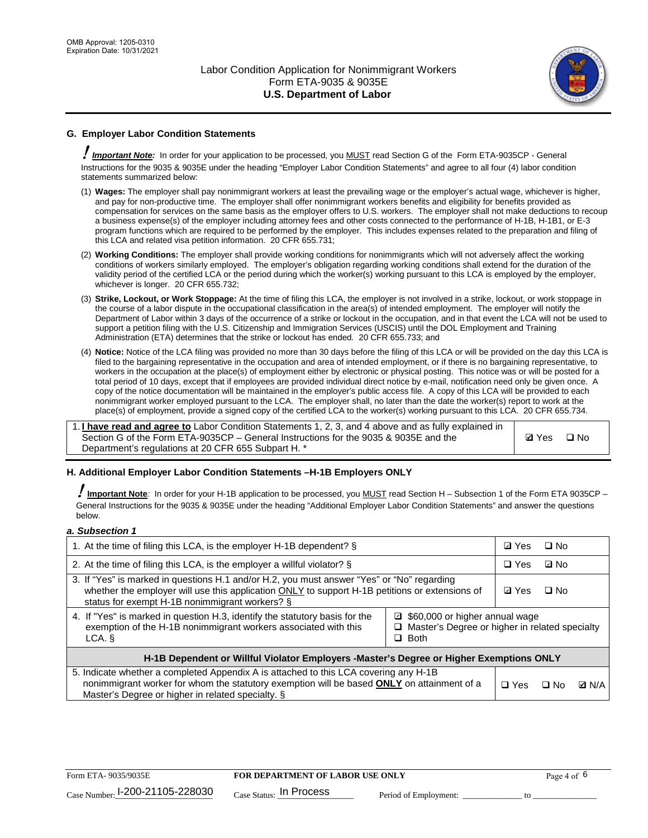

## **G. Employer Labor Condition Statements**

! *Important Note:* In order for your application to be processed, you MUST read Section G of the Form ETA-9035CP - General Instructions for the 9035 & 9035E under the heading "Employer Labor Condition Statements" and agree to all four (4) labor condition statements summarized below:

- (1) **Wages:** The employer shall pay nonimmigrant workers at least the prevailing wage or the employer's actual wage, whichever is higher, and pay for non-productive time. The employer shall offer nonimmigrant workers benefits and eligibility for benefits provided as compensation for services on the same basis as the employer offers to U.S. workers. The employer shall not make deductions to recoup a business expense(s) of the employer including attorney fees and other costs connected to the performance of H-1B, H-1B1, or E-3 program functions which are required to be performed by the employer. This includes expenses related to the preparation and filing of this LCA and related visa petition information. 20 CFR 655.731;
- (2) **Working Conditions:** The employer shall provide working conditions for nonimmigrants which will not adversely affect the working conditions of workers similarly employed. The employer's obligation regarding working conditions shall extend for the duration of the validity period of the certified LCA or the period during which the worker(s) working pursuant to this LCA is employed by the employer, whichever is longer. 20 CFR 655.732;
- (3) **Strike, Lockout, or Work Stoppage:** At the time of filing this LCA, the employer is not involved in a strike, lockout, or work stoppage in the course of a labor dispute in the occupational classification in the area(s) of intended employment. The employer will notify the Department of Labor within 3 days of the occurrence of a strike or lockout in the occupation, and in that event the LCA will not be used to support a petition filing with the U.S. Citizenship and Immigration Services (USCIS) until the DOL Employment and Training Administration (ETA) determines that the strike or lockout has ended. 20 CFR 655.733; and
- (4) **Notice:** Notice of the LCA filing was provided no more than 30 days before the filing of this LCA or will be provided on the day this LCA is filed to the bargaining representative in the occupation and area of intended employment, or if there is no bargaining representative, to workers in the occupation at the place(s) of employment either by electronic or physical posting. This notice was or will be posted for a total period of 10 days, except that if employees are provided individual direct notice by e-mail, notification need only be given once. A copy of the notice documentation will be maintained in the employer's public access file. A copy of this LCA will be provided to each nonimmigrant worker employed pursuant to the LCA. The employer shall, no later than the date the worker(s) report to work at the place(s) of employment, provide a signed copy of the certified LCA to the worker(s) working pursuant to this LCA. 20 CFR 655.734.

1. **I have read and agree to** Labor Condition Statements 1, 2, 3, and 4 above and as fully explained in Section G of the Form ETA-9035CP – General Instructions for the 9035 & 9035E and the Department's regulations at 20 CFR 655 Subpart H. \*

**Ø**Yes ロNo

### **H. Additional Employer Labor Condition Statements –H-1B Employers ONLY**

!**Important Note***:* In order for your H-1B application to be processed, you MUST read Section H – Subsection 1 of the Form ETA 9035CP – General Instructions for the 9035 & 9035E under the heading "Additional Employer Labor Condition Statements" and answer the questions below.

#### *a. Subsection 1*

| 1. At the time of filing this LCA, is the employer H-1B dependent? §                                                                                                                                                                           | ⊡ Yes                                                                                | $\square$ No |              |  |  |
|------------------------------------------------------------------------------------------------------------------------------------------------------------------------------------------------------------------------------------------------|--------------------------------------------------------------------------------------|--------------|--------------|--|--|
| 2. At the time of filing this LCA, is the employer a willful violator? $\S$                                                                                                                                                                    | $\Box$ Yes                                                                           | ⊡ No         |              |  |  |
| 3. If "Yes" is marked in questions H.1 and/or H.2, you must answer "Yes" or "No" regarding<br>whether the employer will use this application ONLY to support H-1B petitions or extensions of<br>status for exempt H-1B nonimmigrant workers? § | <b>☑</b> Yes                                                                         | $\Box$ No    |              |  |  |
| 4. If "Yes" is marked in question H.3, identify the statutory basis for the<br>exemption of the H-1B nonimmigrant workers associated with this<br>LCA. §                                                                                       | ■ \$60,000 or higher annual wage<br>□ Master's Degree or higher in related specialty |              |              |  |  |
| H-1B Dependent or Willful Violator Employers -Master's Degree or Higher Exemptions ONLY                                                                                                                                                        |                                                                                      |              |              |  |  |
| 5. Indicate whether a completed Appendix A is attached to this LCA covering any H-1B<br>nonimmigrant worker for whom the statutory exemption will be based <b>ONLY</b> on attainment of a<br>Master's Degree or higher in related specialty. § | $\Box$ Yes                                                                           | ⊡ No         | <b>Q</b> N/A |  |  |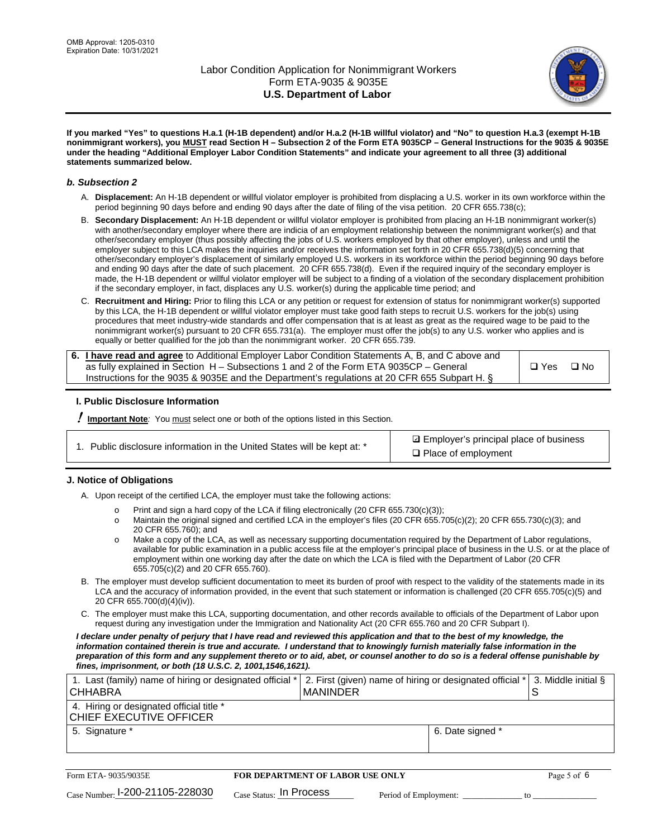

**If you marked "Yes" to questions H.a.1 (H-1B dependent) and/or H.a.2 (H-1B willful violator) and "No" to question H.a.3 (exempt H-1B nonimmigrant workers), you MUST read Section H – Subsection 2 of the Form ETA 9035CP – General Instructions for the 9035 & 9035E under the heading "Additional Employer Labor Condition Statements" and indicate your agreement to all three (3) additional statements summarized below.**

#### *b. Subsection 2*

- A. **Displacement:** An H-1B dependent or willful violator employer is prohibited from displacing a U.S. worker in its own workforce within the period beginning 90 days before and ending 90 days after the date of filing of the visa petition. 20 CFR 655.738(c);
- B. **Secondary Displacement:** An H-1B dependent or willful violator employer is prohibited from placing an H-1B nonimmigrant worker(s) with another/secondary employer where there are indicia of an employment relationship between the nonimmigrant worker(s) and that other/secondary employer (thus possibly affecting the jobs of U.S. workers employed by that other employer), unless and until the employer subject to this LCA makes the inquiries and/or receives the information set forth in 20 CFR 655.738(d)(5) concerning that other/secondary employer's displacement of similarly employed U.S. workers in its workforce within the period beginning 90 days before and ending 90 days after the date of such placement. 20 CFR 655.738(d). Even if the required inquiry of the secondary employer is made, the H-1B dependent or willful violator employer will be subject to a finding of a violation of the secondary displacement prohibition if the secondary employer, in fact, displaces any U.S. worker(s) during the applicable time period; and
- C. **Recruitment and Hiring:** Prior to filing this LCA or any petition or request for extension of status for nonimmigrant worker(s) supported by this LCA, the H-1B dependent or willful violator employer must take good faith steps to recruit U.S. workers for the job(s) using procedures that meet industry-wide standards and offer compensation that is at least as great as the required wage to be paid to the nonimmigrant worker(s) pursuant to 20 CFR 655.731(a). The employer must offer the job(s) to any U.S. worker who applies and is equally or better qualified for the job than the nonimmigrant worker. 20 CFR 655.739.

| 6. I have read and agree to Additional Employer Labor Condition Statements A, B, and C above and |       |           |
|--------------------------------------------------------------------------------------------------|-------|-----------|
| as fully explained in Section H – Subsections 1 and 2 of the Form ETA 9035CP – General           | □ Yes | $\Box$ No |
| Instructions for the 9035 & 9035E and the Department's regulations at 20 CFR 655 Subpart H. §    |       |           |

### **I. Public Disclosure Information**

! **Important Note***:* You must select one or both of the options listed in this Section.

| 1. Public disclosure information in the United States will be kept at: * |  |  |  |  |  |  |
|--------------------------------------------------------------------------|--|--|--|--|--|--|
|--------------------------------------------------------------------------|--|--|--|--|--|--|

**sqrt** Employer's principal place of business □ Place of employment

### **J. Notice of Obligations**

A. Upon receipt of the certified LCA, the employer must take the following actions:

- o Print and sign a hard copy of the LCA if filing electronically (20 CFR 655.730(c)(3));<br>
Maintain the original signed and certified LCA in the employer's files (20 CFR 655.7
- Maintain the original signed and certified LCA in the employer's files (20 CFR 655.705(c)(2); 20 CFR 655.730(c)(3); and 20 CFR 655.760); and
- o Make a copy of the LCA, as well as necessary supporting documentation required by the Department of Labor regulations, available for public examination in a public access file at the employer's principal place of business in the U.S. or at the place of employment within one working day after the date on which the LCA is filed with the Department of Labor (20 CFR 655.705(c)(2) and 20 CFR 655.760).
- B. The employer must develop sufficient documentation to meet its burden of proof with respect to the validity of the statements made in its LCA and the accuracy of information provided, in the event that such statement or information is challenged (20 CFR 655.705(c)(5) and 20 CFR 655.700(d)(4)(iv)).
- C. The employer must make this LCA, supporting documentation, and other records available to officials of the Department of Labor upon request during any investigation under the Immigration and Nationality Act (20 CFR 655.760 and 20 CFR Subpart I).

*I declare under penalty of perjury that I have read and reviewed this application and that to the best of my knowledge, the*  information contained therein is true and accurate. I understand that to knowingly furnish materially false information in the *preparation of this form and any supplement thereto or to aid, abet, or counsel another to do so is a federal offense punishable by fines, imprisonment, or both (18 U.S.C. 2, 1001,1546,1621).*

| 1. Last (family) name of hiring or designated official *<br><b>CHHABRA</b> |                           | I MANINDER                              |                       | 2. First (given) name of hiring or designated official * |    | 3. Middle initial § |
|----------------------------------------------------------------------------|---------------------------|-----------------------------------------|-----------------------|----------------------------------------------------------|----|---------------------|
| 4. Hiring or designated official title *<br>CHIEF EXECUTIVE OFFICER        |                           |                                         |                       |                                                          |    |                     |
| 5. Signature *                                                             |                           |                                         |                       | 6. Date signed *                                         |    |                     |
|                                                                            |                           |                                         |                       |                                                          |    |                     |
| Form ETA- 9035/9035E                                                       |                           | <b>FOR DEPARTMENT OF LABOR USE ONLY</b> |                       |                                                          |    | Page 5 of 6         |
| $_{\text{Case Number:}}$ 1-200-21105-228030                                | $Case$ Status: In Process |                                         | Period of Employment: |                                                          | tο |                     |